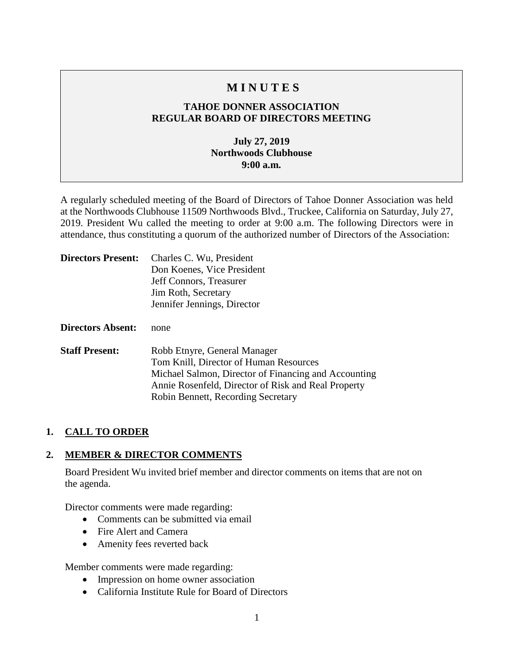# **M I N U T E S**

# **TAHOE DONNER ASSOCIATION REGULAR BOARD OF DIRECTORS MEETING**

# **July 27, 2019 Northwoods Clubhouse 9:00 a.m.**

A regularly scheduled meeting of the Board of Directors of Tahoe Donner Association was held at the Northwoods Clubhouse 11509 Northwoods Blvd., Truckee, California on Saturday, July 27, 2019. President Wu called the meeting to order at 9:00 a.m. The following Directors were in attendance, thus constituting a quorum of the authorized number of Directors of the Association:

| <b>Directors Present:</b> | Charles C. Wu, President<br>Don Koenes, Vice President<br>Jeff Connors, Treasurer<br>Jim Roth, Secretary<br>Jennifer Jennings, Director                                                                                     |
|---------------------------|-----------------------------------------------------------------------------------------------------------------------------------------------------------------------------------------------------------------------------|
| <b>Directors Absent:</b>  | none                                                                                                                                                                                                                        |
| <b>Staff Present:</b>     | Robb Etnyre, General Manager<br>Tom Knill, Director of Human Resources<br>Michael Salmon, Director of Financing and Accounting<br>Annie Rosenfeld, Director of Risk and Real Property<br>Robin Bennett, Recording Secretary |

# **1. CALL TO ORDER**

# **2. MEMBER & DIRECTOR COMMENTS**

Board President Wu invited brief member and director comments on items that are not on the agenda.

Director comments were made regarding:

- Comments can be submitted via email
- Fire Alert and Camera
- Amenity fees reverted back

Member comments were made regarding:

- Impression on home owner association
- California Institute Rule for Board of Directors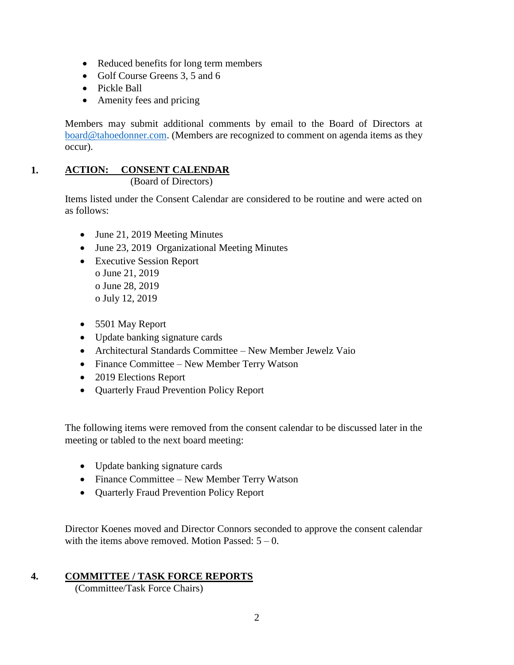- Reduced benefits for long term members
- Golf Course Greens 3, 5 and 6
- Pickle Ball
- Amenity fees and pricing

Members may submit additional comments by email to the Board of Directors at [board@tahoedonner.com.](mailto:board@tahoedonner.com) (Members are recognized to comment on agenda items as they occur).

#### **1. ACTION: CONSENT CALENDAR** (Board of Directors)

Items listed under the Consent Calendar are considered to be routine and were acted on as follows:

- June 21, 2019 Meeting Minutes
- June 23, 2019 Organizational Meeting Minutes
- Executive Session Report o June 21, 2019 o June 28, 2019 o July 12, 2019
- 5501 May Report
- Update banking signature cards
- Architectural Standards Committee New Member Jewelz Vaio
- Finance Committee New Member Terry Watson
- 2019 Elections Report
- Quarterly Fraud Prevention Policy Report

The following items were removed from the consent calendar to be discussed later in the meeting or tabled to the next board meeting:

- Update banking signature cards
- Finance Committee New Member Terry Watson
- Quarterly Fraud Prevention Policy Report

Director Koenes moved and Director Connors seconded to approve the consent calendar with the items above removed. Motion Passed:  $5 - 0$ .

# **4. COMMITTEE / TASK FORCE REPORTS**

(Committee/Task Force Chairs)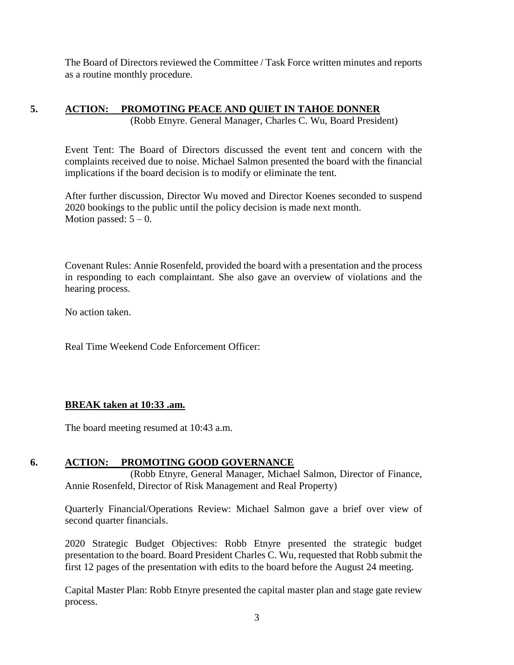The Board of Directors reviewed the Committee / Task Force written minutes and reports as a routine monthly procedure.

### **5. ACTION: PROMOTING PEACE AND QUIET IN TAHOE DONNER** (Robb Etnyre. General Manager, Charles C. Wu, Board President)

Event Tent: The Board of Directors discussed the event tent and concern with the complaints received due to noise. Michael Salmon presented the board with the financial implications if the board decision is to modify or eliminate the tent.

After further discussion, Director Wu moved and Director Koenes seconded to suspend 2020 bookings to the public until the policy decision is made next month. Motion passed:  $5 - 0$ .

Covenant Rules: Annie Rosenfeld, provided the board with a presentation and the process in responding to each complaintant. She also gave an overview of violations and the hearing process.

No action taken.

Real Time Weekend Code Enforcement Officer:

# **BREAK taken at 10:33 .am.**

The board meeting resumed at 10:43 a.m.

# **6. ACTION: PROMOTING GOOD GOVERNANCE**

(Robb Etnyre, General Manager, Michael Salmon, Director of Finance, Annie Rosenfeld, Director of Risk Management and Real Property)

Quarterly Financial/Operations Review: Michael Salmon gave a brief over view of second quarter financials.

2020 Strategic Budget Objectives: Robb Etnyre presented the strategic budget presentation to the board. Board President Charles C. Wu, requested that Robb submit the first 12 pages of the presentation with edits to the board before the August 24 meeting.

Capital Master Plan: Robb Etnyre presented the capital master plan and stage gate review process.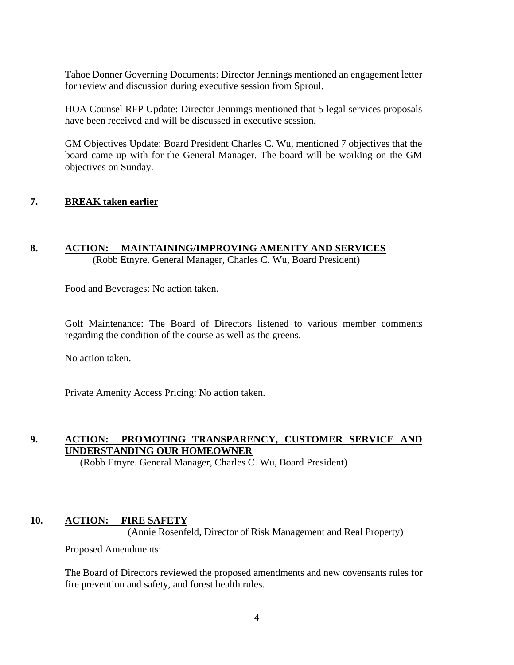Tahoe Donner Governing Documents: Director Jennings mentioned an engagement letter for review and discussion during executive session from Sproul.

HOA Counsel RFP Update: Director Jennings mentioned that 5 legal services proposals have been received and will be discussed in executive session.

GM Objectives Update: Board President Charles C. Wu, mentioned 7 objectives that the board came up with for the General Manager. The board will be working on the GM objectives on Sunday.

#### **7. BREAK taken earlier**

# **8. ACTION: MAINTAINING/IMPROVING AMENITY AND SERVICES**

(Robb Etnyre. General Manager, Charles C. Wu, Board President)

Food and Beverages: No action taken.

Golf Maintenance: The Board of Directors listened to various member comments regarding the condition of the course as well as the greens.

No action taken.

Private Amenity Access Pricing: No action taken.

### **9. ACTION: PROMOTING TRANSPARENCY, CUSTOMER SERVICE AND UNDERSTANDING OUR HOMEOWNER**

(Robb Etnyre. General Manager, Charles C. Wu, Board President)

### **10. ACTION: FIRE SAFETY**

(Annie Rosenfeld, Director of Risk Management and Real Property)

Proposed Amendments:

The Board of Directors reviewed the proposed amendments and new covensants rules for fire prevention and safety, and forest health rules.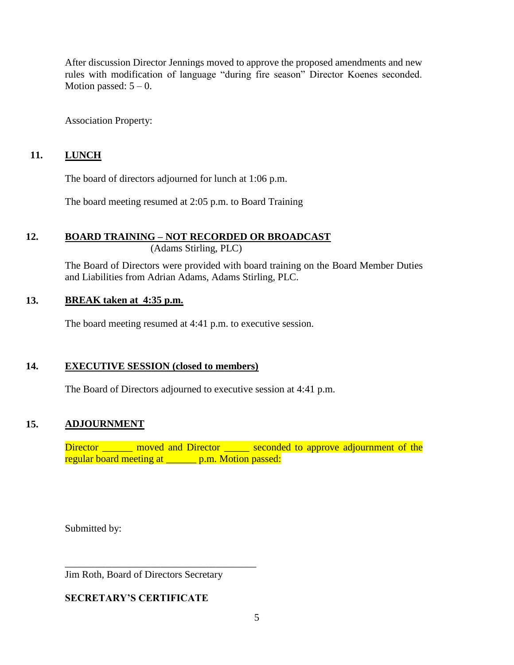After discussion Director Jennings moved to approve the proposed amendments and new rules with modification of language "during fire season" Director Koenes seconded. Motion passed:  $5 - 0$ .

Association Property:

# **11. LUNCH**

The board of directors adjourned for lunch at 1:06 p.m.

The board meeting resumed at 2:05 p.m. to Board Training

# **12. BOARD TRAINING – NOT RECORDED OR BROADCAST**

(Adams Stirling, PLC)

The Board of Directors were provided with board training on the Board Member Duties and Liabilities from Adrian Adams, Adams Stirling, PLC.

# **13. BREAK taken at 4:35 p.m.**

The board meeting resumed at 4:41 p.m. to executive session.

### **14. EXECUTIVE SESSION (closed to members)**

The Board of Directors adjourned to executive session at 4:41 p.m.

# **15. ADJOURNMENT**

Director \_\_\_\_\_\_ moved and Director \_\_\_\_\_ seconded to approve adjournment of the regular board meeting at p.m. Motion passed:

Submitted by:

Jim Roth, Board of Directors Secretary

\_\_\_\_\_\_\_\_\_\_\_\_\_\_\_\_\_\_\_\_\_\_\_\_\_\_\_\_\_\_\_\_\_\_\_\_\_\_

# **SECRETARY'S CERTIFICATE**